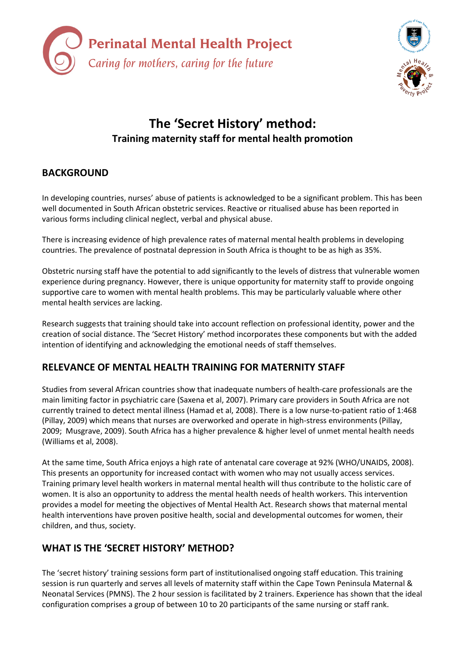



# The 'Secret History' method: Training maternity staff for mental health promotion

# BACKGROUND

In developing countries, nurses' abuse of patients is acknowledged to be a significant problem. This has been well documented in South African obstetric services. Reactive or ritualised abuse has been reported in various forms including clinical neglect, verbal and physical abuse.

There is increasing evidence of high prevalence rates of maternal mental health problems in developing countries. The prevalence of postnatal depression in South Africa is thought to be as high as 35%.

Obstetric nursing staff have the potential to add significantly to the levels of distress that vulnerable women experience during pregnancy. However, there is unique opportunity for maternity staff to provide ongoing supportive care to women with mental health problems. This may be particularly valuable where other mental health services are lacking.

Research suggests that training should take into account reflection on professional identity, power and the creation of social distance. The 'Secret History' method incorporates these components but with the added intention of identifying and acknowledging the emotional needs of staff themselves.

# RELEVANCE OF MENTAL HEALTH TRAINING FOR MATERNITY STAFF

Studies from several African countries show that inadequate numbers of health-care professionals are the main limiting factor in psychiatric care (Saxena et al, 2007). Primary care providers in South Africa are not currently trained to detect mental illness (Hamad et al, 2008). There is a low nurse-to-patient ratio of 1:468 (Pillay, 2009) which means that nurses are overworked and operate in high-stress environments (Pillay, 2009; Musgrave, 2009). South Africa has a higher prevalence & higher level of unmet mental health needs (Williams et al, 2008).

At the same time, South Africa enjoys a high rate of antenatal care coverage at 92% (WHO/UNAIDS, 2008). This presents an opportunity for increased contact with women who may not usually access services. Training primary level health workers in maternal mental health will thus contribute to the holistic care of women. It is also an opportunity to address the mental health needs of health workers. This intervention provides a model for meeting the objectives of Mental Health Act. Research shows that maternal mental health interventions have proven positive health, social and developmental outcomes for women, their children, and thus, society.

# WHAT IS THE 'SECRET HISTORY' METHOD?

The 'secret history' training sessions form part of institutionalised ongoing staff education. This training session is run quarterly and serves all levels of maternity staff within the Cape Town Peninsula Maternal & Neonatal Services (PMNS). The 2 hour session is facilitated by 2 trainers. Experience has shown that the ideal configuration comprises a group of between 10 to 20 participants of the same nursing or staff rank.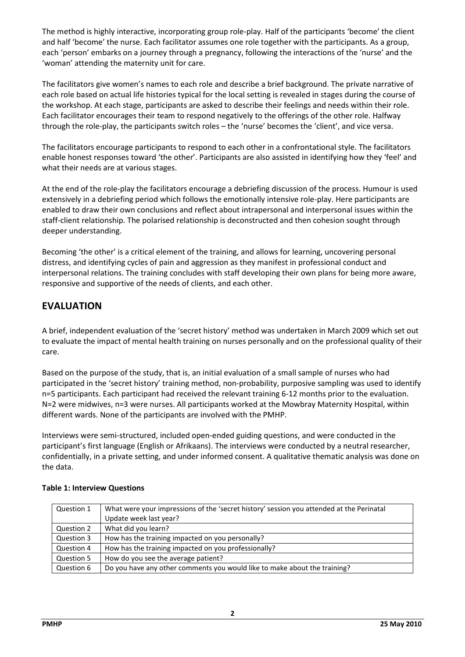The method is highly interactive, incorporating group role-play. Half of the participants 'become' the client and half 'become' the nurse. Each facilitator assumes one role together with the participants. As a group, each 'person' embarks on a journey through a pregnancy, following the interactions of the 'nurse' and the 'woman' attending the maternity unit for care.

The facilitators give women's names to each role and describe a brief background. The private narrative of each role based on actual life histories typical for the local setting is revealed in stages during the course of the workshop. At each stage, participants are asked to describe their feelings and needs within their role. Each facilitator encourages their team to respond negatively to the offerings of the other role. Halfway through the role-play, the participants switch roles – the 'nurse' becomes the 'client', and vice versa.

The facilitators encourage participants to respond to each other in a confrontational style. The facilitators enable honest responses toward 'the other'. Participants are also assisted in identifying how they 'feel' and what their needs are at various stages.

At the end of the role-play the facilitators encourage a debriefing discussion of the process. Humour is used extensively in a debriefing period which follows the emotionally intensive role-play. Here participants are enabled to draw their own conclusions and reflect about intrapersonal and interpersonal issues within the staff-client relationship. The polarised relationship is deconstructed and then cohesion sought through deeper understanding.

Becoming 'the other' is a critical element of the training, and allows for learning, uncovering personal distress, and identifying cycles of pain and aggression as they manifest in professional conduct and interpersonal relations. The training concludes with staff developing their own plans for being more aware, responsive and supportive of the needs of clients, and each other.

# EVALUATION

A brief, independent evaluation of the 'secret history' method was undertaken in March 2009 which set out to evaluate the impact of mental health training on nurses personally and on the professional quality of their care.

Based on the purpose of the study, that is, an initial evaluation of a small sample of nurses who had participated in the 'secret history' training method, non-probability, purposive sampling was used to identify n=5 participants. Each participant had received the relevant training 6-12 months prior to the evaluation. N=2 were midwives, n=3 were nurses. All participants worked at the Mowbray Maternity Hospital, within different wards. None of the participants are involved with the PMHP.

Interviews were semi-structured, included open-ended guiding questions, and were conducted in the participant's first language (English or Afrikaans). The interviews were conducted by a neutral researcher, confidentially, in a private setting, and under informed consent. A qualitative thematic analysis was done on the data.

| Question 1 | What were your impressions of the 'secret history' session you attended at the Perinatal |
|------------|------------------------------------------------------------------------------------------|
|            | Update week last year?                                                                   |
| Question 2 | What did you learn?                                                                      |
| Question 3 | How has the training impacted on you personally?                                         |
| Question 4 | How has the training impacted on you professionally?                                     |
| Question 5 | How do you see the average patient?                                                      |
| Question 6 | Do you have any other comments you would like to make about the training?                |

### Table 1: Interview Questions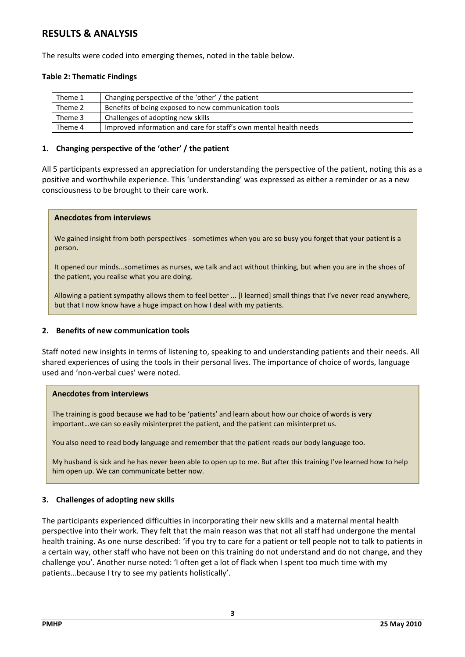### RESULTS & ANALYSIS

The results were coded into emerging themes, noted in the table below.

#### Table 2: Thematic Findings

| Theme 1 | Changing perspective of the 'other' / the patient                 |
|---------|-------------------------------------------------------------------|
| Theme 2 | Benefits of being exposed to new communication tools              |
| Theme 3 | Challenges of adopting new skills                                 |
| Theme 4 | Improved information and care for staff's own mental health needs |

#### 1. Changing perspective of the 'other' / the patient

All 5 participants expressed an appreciation for understanding the perspective of the patient, noting this as a positive and worthwhile experience. This 'understanding' was expressed as either a reminder or as a new consciousness to be brought to their care work.

#### Anecdotes from interviews

We gained insight from both perspectives - sometimes when you are so busy you forget that your patient is a person.

It opened our minds...sometimes as nurses, we talk and act without thinking, but when you are in the shoes of the patient, you realise what you are doing.

Allowing a patient sympathy allows them to feel better ... [I learned] small things that I've never read anywhere, but that I now know have a huge impact on how I deal with my patients.

#### 2. Benefits of new communication tools

Staff noted new insights in terms of listening to, speaking to and understanding patients and their needs. All shared experiences of using the tools in their personal lives. The importance of choice of words, language used and 'non-verbal cues' were noted.

#### Anecdotes from interviews

The training is good because we had to be 'patients' and learn about how our choice of words is very important…we can so easily misinterpret the patient, and the patient can misinterpret us.

You also need to read body language and remember that the patient reads our body language too.

My husband is sick and he has never been able to open up to me. But after this training I've learned how to help him open up. We can communicate better now.

#### 3. Challenges of adopting new skills

The participants experienced difficulties in incorporating their new skills and a maternal mental health perspective into their work. They felt that the main reason was that not all staff had undergone the mental health training. As one nurse described: 'if you try to care for a patient or tell people not to talk to patients in a certain way, other staff who have not been on this training do not understand and do not change, and they challenge you'. Another nurse noted: 'I often get a lot of flack when I spent too much time with my patients…because I try to see my patients holistically'.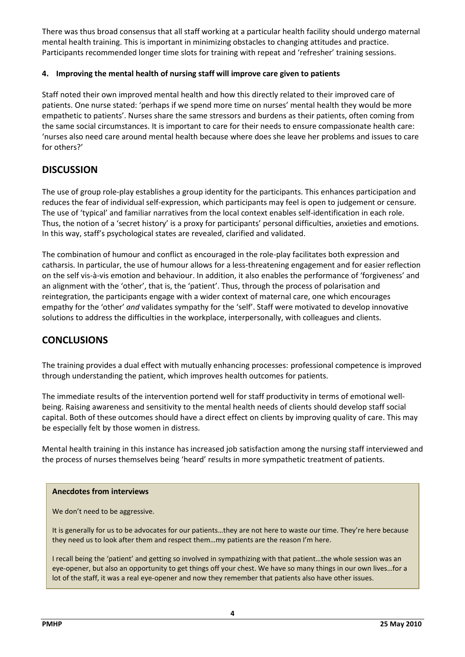There was thus broad consensus that all staff working at a particular health facility should undergo maternal mental health training. This is important in minimizing obstacles to changing attitudes and practice. Participants recommended longer time slots for training with repeat and 'refresher' training sessions.

#### 4. Improving the mental health of nursing staff will improve care given to patients

Staff noted their own improved mental health and how this directly related to their improved care of patients. One nurse stated: 'perhaps if we spend more time on nurses' mental health they would be more empathetic to patients'. Nurses share the same stressors and burdens as their patients, often coming from the same social circumstances. It is important to care for their needs to ensure compassionate health care: 'nurses also need care around mental health because where does she leave her problems and issues to care for others?'

### **DISCUSSION**

The use of group role-play establishes a group identity for the participants. This enhances participation and reduces the fear of individual self-expression, which participants may feel is open to judgement or censure. The use of 'typical' and familiar narratives from the local context enables self-identification in each role. Thus, the notion of a 'secret history' is a proxy for participants' personal difficulties, anxieties and emotions. In this way, staff's psychological states are revealed, clarified and validated.

The combination of humour and conflict as encouraged in the role-play facilitates both expression and catharsis. In particular, the use of humour allows for a less-threatening engagement and for easier reflection on the self vis-à-vis emotion and behaviour. In addition, it also enables the performance of 'forgiveness' and an alignment with the 'other', that is, the 'patient'. Thus, through the process of polarisation and reintegration, the participants engage with a wider context of maternal care, one which encourages empathy for the 'other' and validates sympathy for the 'self'. Staff were motivated to develop innovative solutions to address the difficulties in the workplace, interpersonally, with colleagues and clients.

# **CONCLUSIONS**

The training provides a dual effect with mutually enhancing processes: professional competence is improved through understanding the patient, which improves health outcomes for patients.

The immediate results of the intervention portend well for staff productivity in terms of emotional wellbeing. Raising awareness and sensitivity to the mental health needs of clients should develop staff social capital. Both of these outcomes should have a direct effect on clients by improving quality of care. This may be especially felt by those women in distress.

Mental health training in this instance has increased job satisfaction among the nursing staff interviewed and the process of nurses themselves being 'heard' results in more sympathetic treatment of patients.

#### Anecdotes from interviews

We don't need to be aggressive.

It is generally for us to be advocates for our patients...they are not here to waste our time. They're here because they need us to look after them and respect them…my patients are the reason I'm here.

I recall being the 'patient' and getting so involved in sympathizing with that patient…the whole session was an eye-opener, but also an opportunity to get things off your chest. We have so many things in our own lives…for a lot of the staff, it was a real eye-opener and now they remember that patients also have other issues.